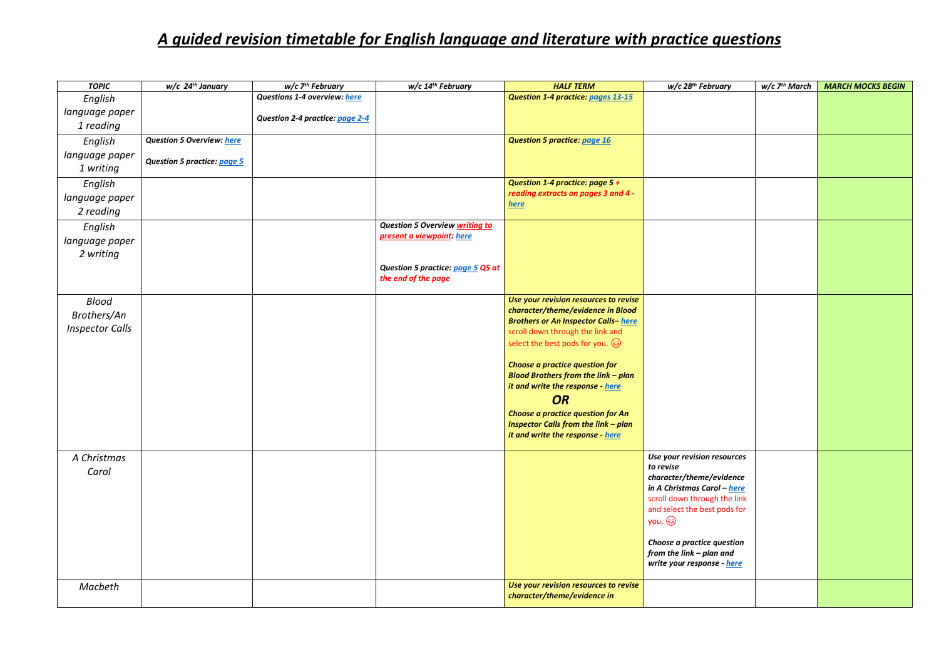## *A guided revision timetable for English language and literature with practice questions*

| <b>TOPIC</b>           | $w/c$ 24 <sup>th</sup> January     | $w/c$ 7 <sup>th</sup> February  | w/c 14 <sup>th</sup> February         | <b>HALF TERM</b>                                   | w/c 28 <sup>th</sup> February                           | w/c 7 <sup>th</sup> March | <b>MARCH MOCKS BEGIN</b> |
|------------------------|------------------------------------|---------------------------------|---------------------------------------|----------------------------------------------------|---------------------------------------------------------|---------------------------|--------------------------|
| English                |                                    | Questions 1-4 overview: here    |                                       | Question 1-4 practice: pages 13-15                 |                                                         |                           |                          |
| language paper         |                                    | Question 2-4 practice: page 2-4 |                                       |                                                    |                                                         |                           |                          |
| 1 reading              |                                    |                                 |                                       |                                                    |                                                         |                           |                          |
| English                | <b>Question 5 Overview: here</b>   |                                 |                                       | <b>Question 5 practice: page 16</b>                |                                                         |                           |                          |
| language paper         |                                    |                                 |                                       |                                                    |                                                         |                           |                          |
| 1 writing              | <b>Question 5 practice: page 5</b> |                                 |                                       |                                                    |                                                         |                           |                          |
| English                |                                    |                                 |                                       | Question 1-4 practice: page 5 +                    |                                                         |                           |                          |
| language paper         |                                    |                                 |                                       | reading extracts on pages 3 and 4 -<br><u>here</u> |                                                         |                           |                          |
| 2 reading              |                                    |                                 |                                       |                                                    |                                                         |                           |                          |
| English                |                                    |                                 | <b>Question 5 Overview writing to</b> |                                                    |                                                         |                           |                          |
| language paper         |                                    |                                 | present a viewpoint: here             |                                                    |                                                         |                           |                          |
| 2 writing              |                                    |                                 |                                       |                                                    |                                                         |                           |                          |
|                        |                                    |                                 | Question 5 practice: page 5 Q5 at     |                                                    |                                                         |                           |                          |
|                        |                                    |                                 | the end of the page                   |                                                    |                                                         |                           |                          |
| Blood                  |                                    |                                 |                                       | Use your revision resources to revise              |                                                         |                           |                          |
|                        |                                    |                                 |                                       | character/theme/evidence in Blood                  |                                                         |                           |                          |
| Brothers/An            |                                    |                                 |                                       | <b>Brothers or An Inspector Calls-here</b>         |                                                         |                           |                          |
| <b>Inspector Calls</b> |                                    |                                 |                                       | scroll down through the link and                   |                                                         |                           |                          |
|                        |                                    |                                 |                                       | select the best pods for you. $\circledS$          |                                                         |                           |                          |
|                        |                                    |                                 |                                       | <b>Choose a practice question for</b>              |                                                         |                           |                          |
|                        |                                    |                                 |                                       | <b>Blood Brothers from the link - plan</b>         |                                                         |                           |                          |
|                        |                                    |                                 |                                       | it and write the response - here                   |                                                         |                           |                          |
|                        |                                    |                                 |                                       | <b>OR</b>                                          |                                                         |                           |                          |
|                        |                                    |                                 |                                       | Choose a practice question for An                  |                                                         |                           |                          |
|                        |                                    |                                 |                                       | Inspector Calls from the link - plan               |                                                         |                           |                          |
|                        |                                    |                                 |                                       | it and write the response - here                   |                                                         |                           |                          |
| A Christmas            |                                    |                                 |                                       |                                                    | Use your revision resources                             |                           |                          |
| Carol                  |                                    |                                 |                                       |                                                    | to revise                                               |                           |                          |
|                        |                                    |                                 |                                       |                                                    | character/theme/evidence<br>in A Christmas Carol – here |                           |                          |
|                        |                                    |                                 |                                       |                                                    | scroll down through the link                            |                           |                          |
|                        |                                    |                                 |                                       |                                                    | and select the best pods for                            |                           |                          |
|                        |                                    |                                 |                                       |                                                    | you. ۞                                                  |                           |                          |
|                        |                                    |                                 |                                       |                                                    | Choose a practice question                              |                           |                          |
|                        |                                    |                                 |                                       |                                                    | from the link - plan and                                |                           |                          |
|                        |                                    |                                 |                                       |                                                    | write your response - here                              |                           |                          |
|                        |                                    |                                 |                                       | Use your revision resources to revise              |                                                         |                           |                          |
| Macbeth                |                                    |                                 |                                       | character/theme/evidence in                        |                                                         |                           |                          |
|                        |                                    |                                 |                                       |                                                    |                                                         |                           |                          |